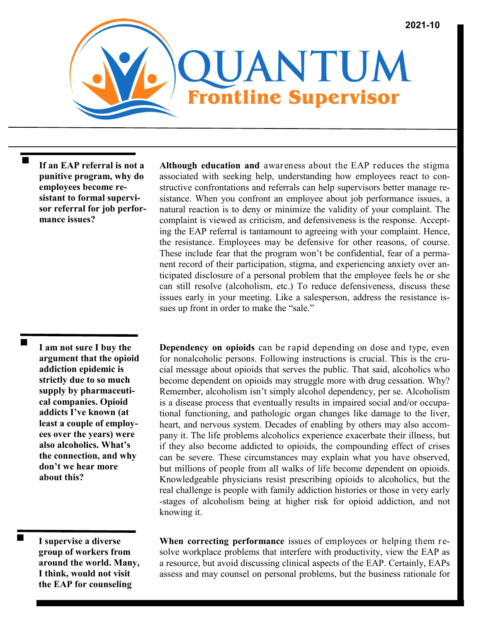

**If an EAP referral is not a punitive program, why do employees become resistant to formal supervisor referral for job performance issues?** 

**Although education and** awareness about the EAP reduces the stigma associated with seeking help, understanding how employees react to constructive confrontations and referrals can help supervisors better manage resistance. When you confront an employee about job performance issues, a natural reaction is to deny or minimize the validity of your complaint. The complaint is viewed as criticism, and defensiveness is the response. Accepting the EAP referral is tantamount to agreeing with your complaint. Hence, the resistance. Employees may be defensive for other reasons, of course. These include fear that the program won't be confidential, fear of a permanent record of their participation, stigma, and experiencing anxiety over anticipated disclosure of a personal problem that the employee feels he or she can still resolve (alcoholism, etc.) To reduce defensiveness, discuss these issues early in your meeting. Like a salesperson, address the resistance issues up front in order to make the "sale."

**I am not sure I buy the argument that the opioid addiction epidemic is strictly due to so much supply by pharmaceutical companies. Opioid addicts I've known (at least a couple of employees over the years) were also alcoholics. What's the connection, and why don't we hear more about this?**

**I supervise a diverse group of workers from around the world. Many, I think, would not visit the EAP for counseling** 

**Dependency on opioids** can be rapid depending on dose and type, even for nonalcoholic persons. Following instructions is crucial. This is the crucial message about opioids that serves the public. That said, alcoholics who become dependent on opioids may struggle more with drug cessation. Why? Remember, alcoholism isn't simply alcohol dependency, per se. Alcoholism is a disease process that eventually results in impaired social and/or occupational functioning, and pathologic organ changes like damage to the liver, heart, and nervous system. Decades of enabling by others may also accompany it. The life problems alcoholics experience exacerbate their illness, but if they also become addicted to opioids, the compounding effect of crises can be severe. These circumstances may explain what you have observed, but millions of people from all walks of life become dependent on opioids. Knowledgeable physicians resist prescribing opioids to alcoholics, but the real challenge is people with family addiction histories or those in very early -stages of alcoholism being at higher risk for opioid addiction, and not knowing it.

**When correcting performance** issues of employees or helping them resolve workplace problems that interfere with productivity, view the EAP as a resource, but avoid discussing clinical aspects of the EAP. Certainly, EAPs assess and may counsel on personal problems, but the business rationale for